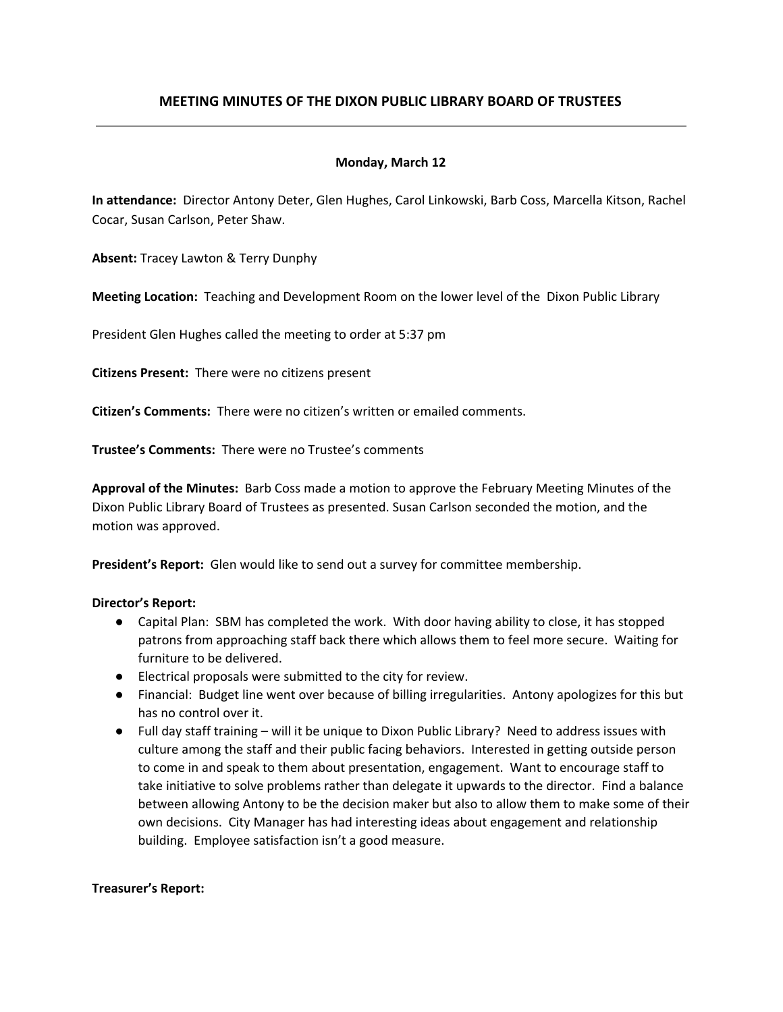# **MEETING MINUTES OF THE DIXON PUBLIC LIBRARY BOARD OF TRUSTEES**

## **Monday, March 12**

**In attendance:** Director Antony Deter, Glen Hughes, Carol Linkowski, Barb Coss, Marcella Kitson, Rachel Cocar, Susan Carlson, Peter Shaw.

**Absent:** Tracey Lawton & Terry Dunphy

**Meeting Location:** Teaching and Development Room on the lower level of the Dixon Public Library

President Glen Hughes called the meeting to order at 5:37 pm

**Citizens Present:** There were no citizens present

**Citizen's Comments:** There were no citizen's written or emailed comments.

**Trustee's Comments:** There were no Trustee's comments

**Approval of the Minutes:** Barb Coss made a motion to approve the February Meeting Minutes of the Dixon Public Library Board of Trustees as presented. Susan Carlson seconded the motion, and the motion was approved.

**President's Report:** Glen would like to send out a survey for committee membership.

#### **Director's Report:**

- Capital Plan: SBM has completed the work. With door having ability to close, it has stopped patrons from approaching staff back there which allows them to feel more secure. Waiting for furniture to be delivered.
- Electrical proposals were submitted to the city for review.
- Financial: Budget line went over because of billing irregularities. Antony apologizes for this but has no control over it.
- Full day staff training will it be unique to Dixon Public Library? Need to address issues with culture among the staff and their public facing behaviors. Interested in getting outside person to come in and speak to them about presentation, engagement. Want to encourage staff to take initiative to solve problems rather than delegate it upwards to the director. Find a balance between allowing Antony to be the decision maker but also to allow them to make some of their own decisions. City Manager has had interesting ideas about engagement and relationship building. Employee satisfaction isn't a good measure.

#### **Treasurer's Report:**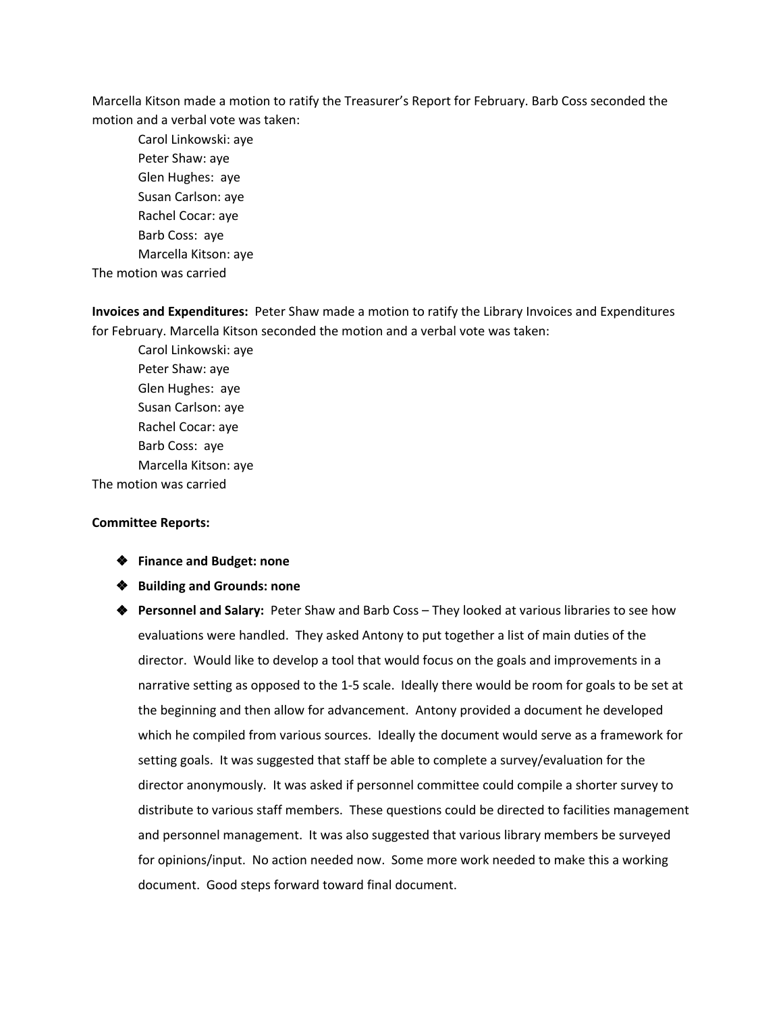Marcella Kitson made a motion to ratify the Treasurer's Report for February. Barb Coss seconded the motion and a verbal vote was taken:

Carol Linkowski: aye Peter Shaw: aye Glen Hughes: aye Susan Carlson: aye Rachel Cocar: aye Barb Coss: aye Marcella Kitson: aye

The motion was carried

**Invoices and Expenditures:** Peter Shaw made a motion to ratify the Library Invoices and Expenditures for February. Marcella Kitson seconded the motion and a verbal vote was taken:

Carol Linkowski: aye Peter Shaw: aye Glen Hughes: aye Susan Carlson: aye Rachel Cocar: aye Barb Coss: aye Marcella Kitson: aye The motion was carried

#### **Committee Reports:**

- ❖ **Finance and Budget: none**
- ❖ **Building and Grounds: none**
- ❖ **Personnel and Salary:** Peter Shaw and Barb Coss They looked at various libraries to see how evaluations were handled. They asked Antony to put together a list of main duties of the director. Would like to develop a tool that would focus on the goals and improvements in a narrative setting as opposed to the 1-5 scale. Ideally there would be room for goals to be set at the beginning and then allow for advancement. Antony provided a document he developed which he compiled from various sources. Ideally the document would serve as a framework for setting goals. It was suggested that staff be able to complete a survey/evaluation for the director anonymously. It was asked if personnel committee could compile a shorter survey to distribute to various staff members. These questions could be directed to facilities management and personnel management. It was also suggested that various library members be surveyed for opinions/input. No action needed now. Some more work needed to make this a working document. Good steps forward toward final document.